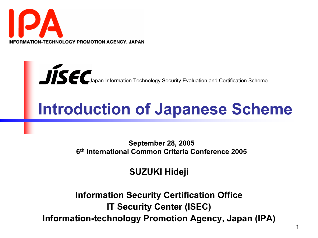



# Introduction of Japanese Scheme

September 28, 2005 6th International Common Criteria Conference 2005

#### SUZUKI Hideji

Information Security Certification Office IT Security Center (ISEC) Information-technology Promotion Agency, Japan (IPA)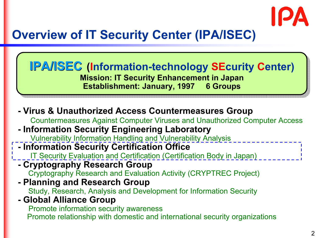

## Overview of IT Security Center (IPA/ISEC)

IPA/ISEC (Information-technology SEcurity Center) Mission: IT Security Enhancement in Japan Mission: IT Security Enhancement in Japan Establishment: January, 1997 6 Groups Establishment: January, 1997 6 Groups IPA/ISEC (Information-technology SEcurity Center)

- Virus & Unauthorized Access Countermeasures Group Countermeasures Against Computer Viruses and Unauthorized Computer Access - Information Security Engineering Laboratory Vulnerability Information Handling and Vulnerability Analysis

#### - Information Security Certification Office

- IT Security Evaluation and Certification (Certification Body in Japan)
- Cryptography Research Group
	- Cryptography Research and Evaluation Activity (CRYPTREC Project)
- Planning and Research Group

Study, Research, Analysis and Development for Information Security

- Global Alliance Group

Promote information security awareness

Promote relationship with domestic and international security organizations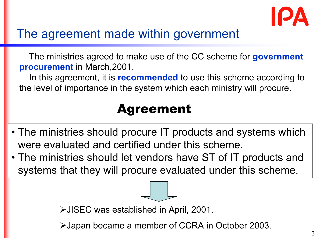

## The agreement made within government

The ministries agreed to make use of the CC scheme for government procurement in March,2001.

In this agreement, it is **recommended** to use this scheme according to the level of importance in the system which each ministry will procure.

## Agreement

- The ministries should procure IT products and systems which were evaluated and certified under this scheme.
- The ministries should let vendors have ST of IT products and systems that they will procure evaluated under this scheme.

JISEC was established in April, 2001.

Japan became a member of CCRA in October 2003.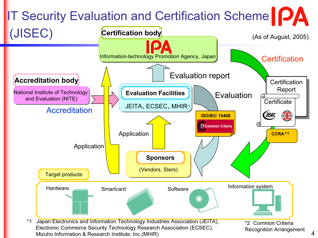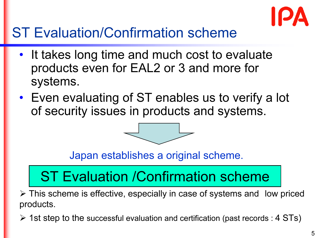

# ST Evaluation/Confirmation scheme

- It takes long time and much cost to evaluate products even for EAL2 or 3 and more for systems.
- Even evaluating of ST enables us to verify a lot of security issues in products and systems.



Japan establishes a original scheme.

# ST Evaluation /Confirmation scheme

 This scheme is effective, especially in case of systems and low priced products.

 $\triangleright$  1st step to the successful evaluation and certification (past records : 4 STs)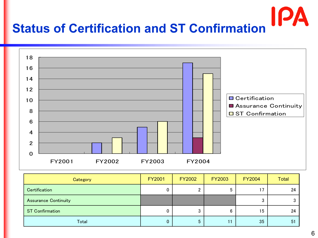



| Category                    | <b>FY2001</b> | <b>FY2002</b> | <b>FY2003</b> | <b>FY2004</b> | <b>Total</b> |
|-----------------------------|---------------|---------------|---------------|---------------|--------------|
| Certification               |               |               | 5             | 17            | 24           |
| <b>Assurance Continuity</b> |               |               |               |               |              |
| <b>ST Confirmation</b>      |               | J             | 6             | 15            | 24           |
| Total                       |               | 5             | 11            | 35            | -51          |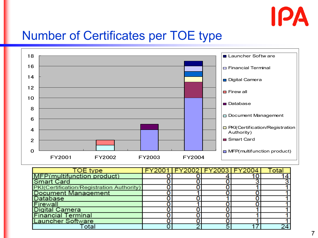

#### Number of Certificates per TOE type



| <b>TOE</b> type                           |  |    | FY2001   FY2002   FY2003   FY2004 | I ota |
|-------------------------------------------|--|----|-----------------------------------|-------|
| MFP(multifunction product)                |  |    |                                   |       |
| <b>Smart Card</b>                         |  |    |                                   |       |
| PKI(Certification/Registration Authority) |  |    |                                   |       |
| <b>Document Management</b>                |  |    |                                   |       |
| Database                                  |  |    |                                   |       |
| Firewal                                   |  |    |                                   |       |
| <b>Digital Camera</b>                     |  |    |                                   |       |
| <b>Financial Terminal</b>                 |  |    |                                   |       |
| <b>Launcher Software</b>                  |  |    |                                   |       |
|                                           |  | г, |                                   |       |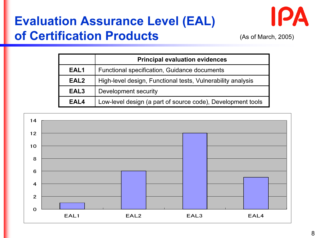## Evaluation Assurance Level (EAL) of Certification Products



(As of March, 2005)

|                  | <b>Principal evaluation evidences</b>                       |
|------------------|-------------------------------------------------------------|
| EAL1             | Functional specification, Guidance documents                |
| EAL <sub>2</sub> | High-level design, Functional tests, Vulnerability analysis |
| EAL <sub>3</sub> | Development security                                        |
| EAL4             | Low-level design (a part of source code), Development tools |

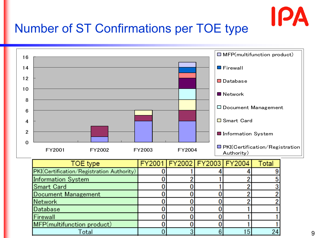

## Number of ST Confirmations per TOE type

MFP(multifunction product)

Total



0

 $\Omega$ 

0

3

 $\bf{0}$ 

6

15

24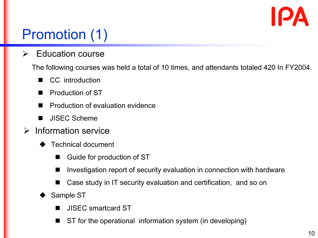

# Promotion (1)

 $\blacktriangleright$ Education course

The following courses was held a total of 10 times, and attendants totaled 420 In FY2004.

- CC introduction
- a an Production of ST
- Production of evaluation evidence
- $\blacksquare$ JISEC Scheme
- $\blacktriangleright$  Information service
	- $\blacklozenge$  Technical document
		- Guide for production of ST
		- $\blacksquare$ Investigation report of security evaluation in connection with hardware
		- Case study in IT security evaluation and certification, and so on
	- $\blacklozenge$  Sample ST
		- $\blacksquare$ JISEC smartcard ST
		- $\blacksquare$ ST for the operational information system (in developing)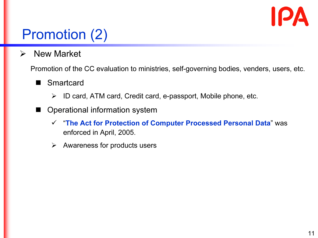

# Promotion (2)

 $\blacktriangleright$ New Market

Promotion of the CC evaluation to ministries, self-governing bodies, venders, users, etc.

- $\blacksquare$ **Smartcard** 
	- $\blacktriangleright$ ID card, ATM card, Credit card, e-passport, Mobile phone, etc.
- W Operational information system
	- "The Act for Protection of Computer Processed Personal Data" was enforced in April, 2005.
	- $\blacktriangleright$ Awareness for products users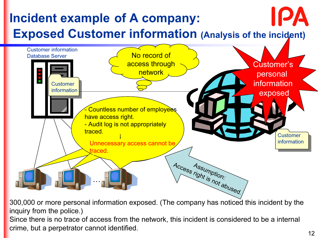

300,000 or more personal information exposed. (The company has noticed this incident by the inquiry from the police.)

Since there is no trace of access from the network, this incident is considered to be a internal crime, but a perpetrator cannot identified.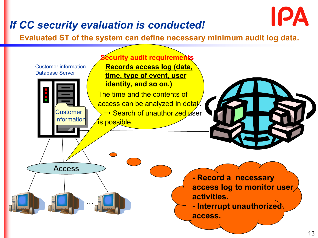#### If CC security evaluation is conducted!

Evaluated ST of the system can define necessary minimum audit log data.